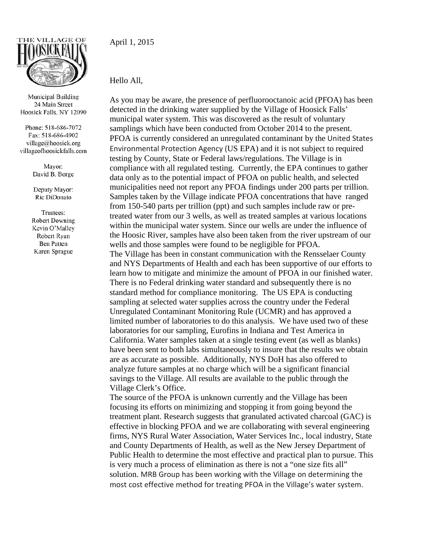

Municipal Building 24 Main Street Hoosick Falls, NY 12090

Phone: 518-686-7072 Fax: 518-686-4902 village@hoosick.org villageofhoosickfalls.com

> Mayor: David B. Borge

Deputy Mayor: Ric DiDonato

Trustees: **Robert Downing** Kevin O'Malley Robert Ryan **Ben Patten** Karen Sprague

April 1, 2015

## Hello All,

As you may be aware, the presence of perfluorooctanoic acid (PFOA) has been detected in the drinking water supplied by the Village of Hoosick Falls' municipal water system. This was discovered as the result of voluntary samplings which have been conducted from October 2014 to the present. PFOA is currently considered an unregulated contaminant by the United States Environmental Protection Agency (US EPA) and it is not subject to required testing by County, State or Federal laws/regulations. The Village is in compliance with all regulated testing. Currently, the EPA continues to gather data only as to the potential impact of PFOA on public health, and selected municipalities need not report any PFOA findings under 200 parts per trillion. Samples taken by the Village indicate PFOA concentrations that have ranged from 150-540 parts per trillion (ppt) and such samples include raw or pretreated water from our 3 wells, as well as treated samples at various locations within the municipal water system. Since our wells are under the influence of the Hoosic River, samples have also been taken from the river upstream of our wells and those samples were found to be negligible for PFOA. The Village has been in constant communication with the Rensselaer County and NYS Departments of Health and each has been supportive of our efforts to

learn how to mitigate and minimize the amount of PFOA in our finished water. There is no Federal drinking water standard and subsequently there is no standard method for compliance monitoring. The US EPA is conducting sampling at selected water supplies across the country under the Federal Unregulated Contaminant Monitoring Rule (UCMR) and has approved a limited number of laboratories to do this analysis. We have used two of these laboratories for our sampling, Eurofins in Indiana and Test America in California. Water samples taken at a single testing event (as well as blanks) have been sent to both labs simultaneously to insure that the results we obtain are as accurate as possible. Additionally, NYS DoH has also offered to analyze future samples at no charge which will be a significant financial savings to the Village. All results are available to the public through the Village Clerk's Office.

The source of the PFOA is unknown currently and the Village has been focusing its efforts on minimizing and stopping it from going beyond the treatment plant. Research suggests that granulated activated charcoal (GAC) is effective in blocking PFOA and we are collaborating with several engineering firms, NYS Rural Water Association, Water Services Inc., local industry, State and County Departments of Health, as well as the New Jersey Department of Public Health to determine the most effective and practical plan to pursue. This is very much a process of elimination as there is not a "one size fits all" solution. MRB Group has been working with the Village on determining the most cost effective method for treating PFOA in the Village's water system.